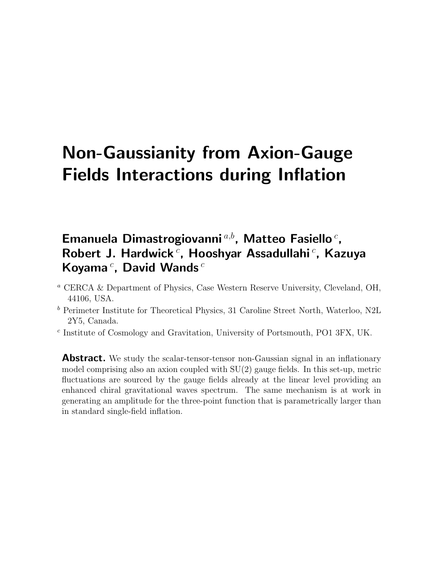# Non-Gaussianity from Axion-Gauge Fields Interactions during Inflation

# Emanuela Dimastrogiovanni<sup>a,b</sup>, Matteo Fasiello<sup>c</sup>, Robert J. Hardwick<sup>c</sup>, Hooshyar Assadullahi<sup>c</sup>, Kazuya Koyama $^c$ , David Wands $^c$

- <sup>a</sup> CERCA & Department of Physics, Case Western Reserve University, Cleveland, OH, 44106, USA.
- <sup>b</sup> Perimeter Institute for Theoretical Physics, 31 Caroline Street North, Waterloo, N2L 2Y5, Canada.
- c Institute of Cosmology and Gravitation, University of Portsmouth, PO1 3FX, UK.

**Abstract.** We study the scalar-tensor-tensor non-Gaussian signal in an inflationary model comprising also an axion coupled with  $SU(2)$  gauge fields. In this set-up, metric fluctuations are sourced by the gauge fields already at the linear level providing an enhanced chiral gravitational waves spectrum. The same mechanism is at work in generating an amplitude for the three-point function that is parametrically larger than in standard single-field inflation.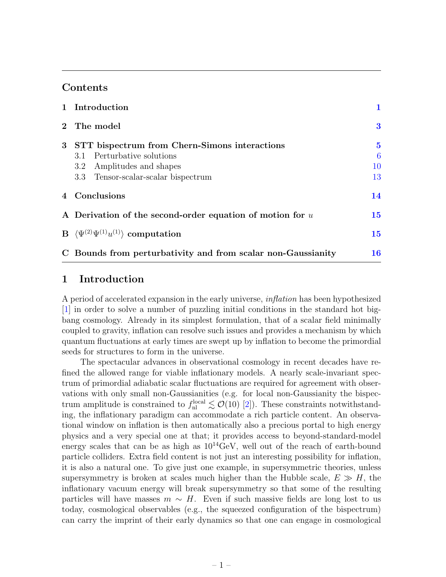# Contents

|                 | 1 Introduction                                                | 1                |
|-----------------|---------------------------------------------------------------|------------------|
| $2^{\circ}$     | The model                                                     | $\bf{3}$         |
| $3\phantom{.0}$ | STT bispectrum from Chern-Simons interactions                 | $\bf{5}$         |
|                 | 3.1 Perturbative solutions                                    | $\boldsymbol{6}$ |
|                 | Amplitudes and shapes<br>$3.2\phantom{0}$                     | 10               |
|                 | 3.3 Tensor-scalar-scalar bispectrum                           | 13               |
|                 | 4 Conclusions                                                 | 14               |
|                 | A Derivation of the second-order equation of motion for $u$   | 15               |
|                 | B $\langle \Psi^{(2)} \Psi^{(1)} u^{(1)} \rangle$ computation | 15               |
|                 | C Bounds from perturbativity and from scalar non-Gaussianity  | 16               |

## <span id="page-1-0"></span>1 Introduction

A period of accelerated expansion in the early universe, inflation has been hypothesized [\[1\]](#page-18-0) in order to solve a number of puzzling initial conditions in the standard hot bigbang cosmology. Already in its simplest formulation, that of a scalar field minimally coupled to gravity, inflation can resolve such issues and provides a mechanism by which quantum fluctuations at early times are swept up by inflation to become the primordial seeds for structures to form in the universe.

The spectacular advances in observational cosmology in recent decades have refined the allowed range for viable inflationary models. A nearly scale-invariant spectrum of primordial adiabatic scalar fluctuations are required for agreement with observations with only small non-Gaussianities (e.g. for local non-Gaussianity the bispectrum amplitude is constrained to  $f_{nl}^{local} \lesssim \mathcal{O}(10)$  [\[2\]](#page-18-1)). These constraints notwithstanding, the inflationary paradigm can accommodate a rich particle content. An observational window on inflation is then automatically also a precious portal to high energy physics and a very special one at that; it provides access to beyond-standard-model energy scales that can be as high as  $10^{14} \text{GeV}$ , well out of the reach of earth-bound particle colliders. Extra field content is not just an interesting possibility for inflation, it is also a natural one. To give just one example, in supersymmetric theories, unless supersymmetry is broken at scales much higher than the Hubble scale,  $E \gg H$ , the inflationary vacuum energy will break supersymmetry so that some of the resulting particles will have masses  $m \sim H$ . Even if such massive fields are long lost to us today, cosmological observables (e.g., the squeezed configuration of the bispectrum) can carry the imprint of their early dynamics so that one can engage in cosmological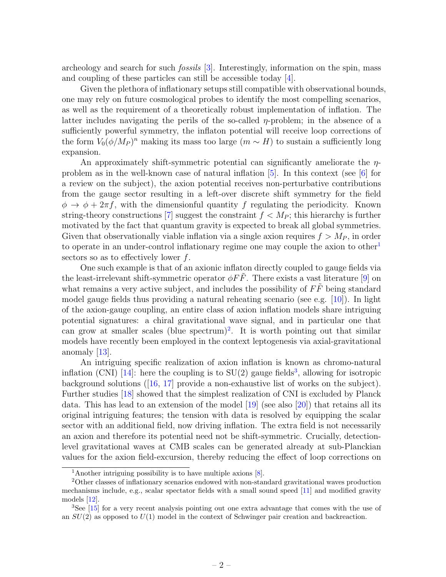archeology and search for such fossils [\[3\]](#page-18-2). Interestingly, information on the spin, mass and coupling of these particles can still be accessible today [\[4\]](#page-18-3).

Given the plethora of inflationary setups still compatible with observational bounds, one may rely on future cosmological probes to identify the most compelling scenarios, as well as the requirement of a theoretically robust implementation of inflation. The latter includes navigating the perils of the so-called  $\eta$ -problem; in the absence of a sufficiently powerful symmetry, the inflaton potential will receive loop corrections of the form  $V_0(\phi/M_P)^n$  making its mass too large  $(m \sim H)$  to sustain a sufficiently long expansion.

An approximately shift-symmetric potential can significantly ameliorate the  $\eta$ problem as in the well-known case of natural inflation  $[5]$ . In this context (see  $[6]$  for a review on the subject), the axion potential receives non-perturbative contributions from the gauge sector resulting in a left-over discrete shift symmetry for the field  $\phi \rightarrow \phi + 2\pi f$ , with the dimensionful quantity f regulating the periodicity. Known string-theory constructions [\[7\]](#page-18-6) suggest the constraint  $f < M_P$ ; this hierarchy is further motivated by the fact that quantum gravity is expected to break all global symmetries. Given that observationally viable inflation via a single axion requires  $f > M<sub>P</sub>$ , in order to operate in an under-control inflationary regime one may couple the axion to other<sup>[1](#page-2-0)</sup> sectors so as to effectively lower f.

One such example is that of an axionic inflaton directly coupled to gauge fields via the least-irrelevant shift-symmetric operator  $\phi F\ddot{F}$ . There exists a vast literature [\[9\]](#page-19-0) on what remains a very active subject, and includes the possibility of  $F\ddot{F}$  being standard model gauge fields thus providing a natural reheating scenario (see e.g. [\[10\]](#page-19-1)). In light of the axion-gauge coupling, an entire class of axion inflation models share intriguing potential signatures: a chiral gravitational wave signal, and in particular one that can grow at smaller scales (blue spectrum)<sup>[2](#page-2-1)</sup>. It is worth pointing out that similar models have recently been employed in the context leptogenesis via axial-gravitational anomaly [\[13\]](#page-19-2).

An intriguing specific realization of axion inflation is known as chromo-natural inflation (CNI) [\[14\]](#page-19-3): here the coupling is to  $SU(2)$  gauge fields<sup>[3](#page-2-2)</sup>, allowing for isotropic background solutions ([\[16,](#page-19-4) [17\]](#page-19-5) provide a non-exhaustive list of works on the subject). Further studies [\[18\]](#page-19-6) showed that the simplest realization of CNI is excluded by Planck data. This has lead to an extension of the model  $[19]$  (see also  $[20]$ ) that retains all its original intriguing features; the tension with data is resolved by equipping the scalar sector with an additional field, now driving inflation. The extra field is not necessarily an axion and therefore its potential need not be shift-symmetric. Crucially, detectionlevel gravitational waves at CMB scales can be generated already at sub-Planckian values for the axion field-excursion, thereby reducing the effect of loop corrections on

<span id="page-2-1"></span><span id="page-2-0"></span><sup>1</sup>Another intriguing possibility is to have multiple axions [\[8\]](#page-18-7).

<sup>2</sup>Other classes of inflationary scenarios endowed with non-standard gravitational waves production mechanisms include, e.g., scalar spectator fields with a small sound speed [\[11\]](#page-19-7) and modified gravity models [\[12\]](#page-19-8).

<span id="page-2-2"></span><sup>3</sup>See [\[15\]](#page-19-9) for a very recent analysis pointing out one extra advantage that comes with the use of an  $SU(2)$  as opposed to  $U(1)$  model in the context of Schwinger pair creation and backreaction.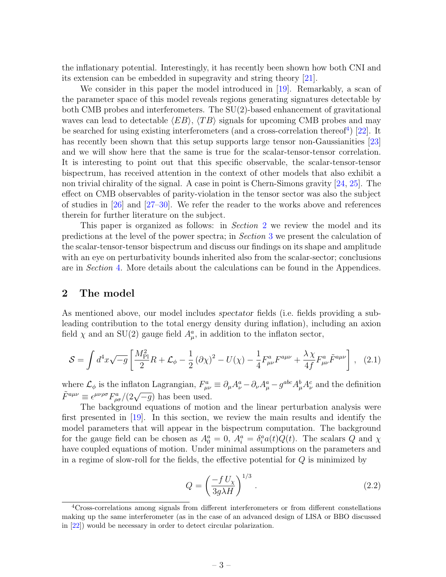the inflationary potential. Interestingly, it has recently been shown how both CNI and its extension can be embedded in supegravity and string theory [\[21\]](#page-20-2).

We consider in this paper the model introduced in [\[19\]](#page-20-0). Remarkably, a scan of the parameter space of this model reveals regions generating signatures detectable by both CMB probes and interferometers. The SU(2)-based enhancement of gravitational waves can lead to detectable  $\langle EB \rangle$ ,  $\langle TB \rangle$  signals for upcoming CMB probes and may be searched for using existing interferometers (and a cross-correlation thereof<sup>[4](#page-3-1)</sup>) [\[22\]](#page-20-3). It has recently been shown that this setup supports large tensor non-Gaussianities [\[23\]](#page-20-4) and we will show here that the same is true for the scalar-tensor-tensor correlation. It is interesting to point out that this specific observable, the scalar-tensor-tensor bispectrum, has received attention in the context of other models that also exhibit a non trivial chirality of the signal. A case in point is Chern-Simons gravity [\[24,](#page-20-5) [25\]](#page-20-6). The effect on CMB observables of parity-violation in the tensor sector was also the subject of studies in [\[26\]](#page-20-7) and [\[27–](#page-20-8)[30\]](#page-20-9). We refer the reader to the works above and references therein for further literature on the subject.

This paper is organized as follows: in *Section* [2](#page-3-0) we review the model and its predictions at the level of the power spectra; in Section [3](#page-5-0) we present the calculation of the scalar-tensor-tensor bispectrum and discuss our findings on its shape and amplitude with an eye on perturbativity bounds inherited also from the scalar-sector; conclusions are in Section [4.](#page-14-0) More details about the calculations can be found in the Appendices.

#### <span id="page-3-0"></span>2 The model

As mentioned above, our model includes spectator fields (i.e. fields providing a subleading contribution to the total energy density during inflation), including an axion field  $\chi$  and an SU(2) gauge field  $A^a_\mu$ , in addition to the inflaton sector,

<span id="page-3-2"></span>
$$
S = \int d^4x \sqrt{-g} \left[ \frac{M_{\rm Pl}^2}{2} R + \mathcal{L}_{\phi} - \frac{1}{2} (\partial \chi)^2 - U(\chi) - \frac{1}{4} F^a_{\mu\nu} F^{a\mu\nu} + \frac{\lambda \chi}{4f} F^a_{\mu\nu} \tilde{F}^{a\mu\nu} \right], \quad (2.1)
$$

where  $\mathcal{L}_{\phi}$  is the inflaton Lagrangian,  $F_{\mu\nu}^a \equiv \partial_{\mu}A_{\nu}^a - \partial_{\nu}A_{\mu}^a - g^{abc}A_{\mu}^bA_{\nu}^c$  and the definition  $\tilde{F}^{a\mu\nu} \equiv \epsilon^{\mu\nu\rho\sigma} F^a_{\rho\sigma}/(2\sqrt{-g})$  has been used.

The background equations of motion and the linear perturbation analysis were first presented in [\[19\]](#page-20-0). In this section, we review the main results and identify the model parameters that will appear in the bispectrum computation. The background for the gauge field can be chosen as  $A_0^a = 0$ ,  $A_i^a = \delta_i^a a(t) Q(t)$ . The scalars Q and  $\chi$ have coupled equations of motion. Under minimal assumptions on the parameters and in a regime of slow-roll for the fields, the effective potential for  $Q$  is minimized by

<span id="page-3-3"></span>
$$
Q = \left(\frac{-f U_{\chi}}{3g\lambda H}\right)^{1/3}.
$$
\n(2.2)

<span id="page-3-1"></span><sup>4</sup>Cross-correlations among signals from different interferometers or from different constellations making up the same interferometer (as in the case of an advanced design of LISA or BBO discussed in [\[22\]](#page-20-3)) would be necessary in order to detect circular polarization.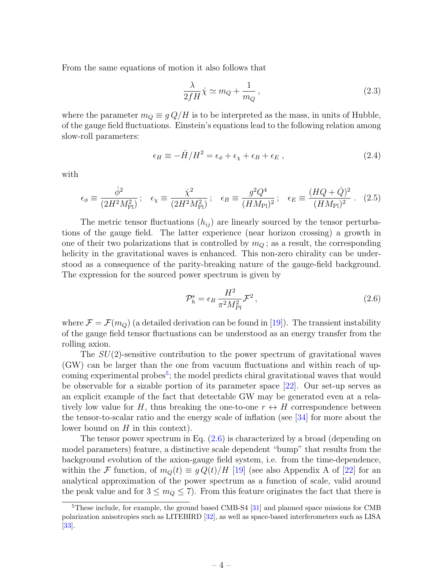From the same equations of motion it also follows that

<span id="page-4-2"></span>
$$
\frac{\lambda}{2fH}\dot{\chi} \simeq m_Q + \frac{1}{m_Q},\qquad(2.3)
$$

where the parameter  $m_Q \equiv g Q/H$  is to be interpreted as the mass, in units of Hubble, of the gauge field fluctuations. Einstein's equations lead to the following relation among slow-roll parameters:

$$
\epsilon_H \equiv -\dot{H}/H^2 = \epsilon_\phi + \epsilon_\chi + \epsilon_B + \epsilon_E , \qquad (2.4)
$$

with

$$
\epsilon_{\phi} \equiv \frac{\dot{\phi}^2}{(2H^2M_{\rm Pl}^2)} \, ; \quad \epsilon_{\chi} \equiv \frac{\dot{\chi}^2}{(2H^2M_{\rm Pl}^2)} \, ; \quad \epsilon_B \equiv \frac{g^2Q^4}{(HM_{\rm Pl})^2} \, ; \quad \epsilon_E \equiv \frac{(HQ + \dot{Q})^2}{(HM_{\rm Pl})^2} \, . \tag{2.5}
$$

The metric tensor fluctuations  $(h_{ij})$  are linearly sourced by the tensor perturbations of the gauge field. The latter experience (near horizon crossing) a growth in one of their two polarizations that is controlled by  $m_Q$ ; as a result, the corresponding helicity in the gravitational waves is enhanced. This non-zero chirality can be understood as a consequence of the parity-breaking nature of the gauge-field background. The expression for the sourced power spectrum is given by

<span id="page-4-1"></span>
$$
\mathcal{P}_h^{\rm s} = \epsilon_B \frac{H^2}{\pi^2 M_{Pl}^2} \mathcal{F}^2 \,, \tag{2.6}
$$

where  $\mathcal{F} = \mathcal{F}(m_Q)$  (a detailed derivation can be found in [\[19\]](#page-20-0)). The transient instability of the gauge field tensor fluctuations can be understood as an energy transfer from the rolling axion.

The  $SU(2)$ -sensitive contribution to the power spectrum of gravitational waves (GW) can be larger than the one from vacuum fluctuations and within reach of up-coming experimental probes<sup>[5](#page-4-0)</sup>; the model predicts chiral gravitational waves that would be observable for a sizable portion of its parameter space [\[22\]](#page-20-3). Our set-up serves as an explicit example of the fact that detectable GW may be generated even at a relatively low value for H, thus breaking the one-to-one  $r \leftrightarrow H$  correspondence between the tensor-to-scalar ratio and the energy scale of inflation (see [\[34\]](#page-20-10) for more about the lower bound on  $H$  in this context).

The tensor power spectrum in Eq. [\(2.6\)](#page-4-1) is characterized by a broad (depending on model parameters) feature, a distinctive scale dependent "bump" that results from the background evolution of the axion-gauge field system, i.e. from the time-dependence, within the F function, of  $m_Q(t) \equiv g Q(t)/H$  [\[19\]](#page-20-0) (see also Appendix A of [\[22\]](#page-20-3) for an analytical approximation of the power spectrum as a function of scale, valid around the peak value and for  $3 \leq m_Q \leq 7$ . From this feature originates the fact that there is

<span id="page-4-0"></span><sup>&</sup>lt;sup>5</sup>These include, for example, the ground based CMB-S4 [\[31\]](#page-20-11) and planned space missions for CMB polarization anisotropies such as LITEBIRD [\[32\]](#page-20-12), as well as space-based interferometers such as LISA [\[33\]](#page-20-13).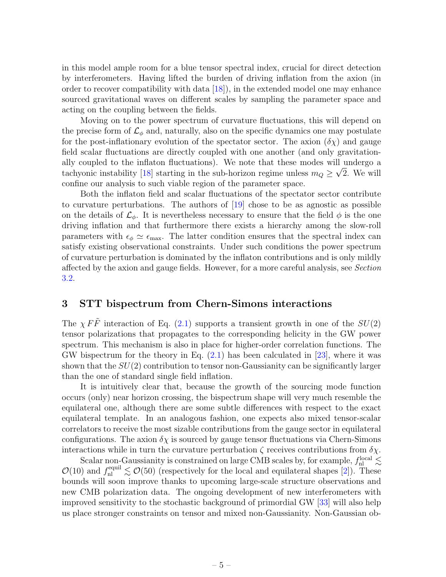in this model ample room for a blue tensor spectral index, crucial for direct detection by interferometers. Having lifted the burden of driving inflation from the axion (in order to recover compatibility with data [\[18\]](#page-19-6)), in the extended model one may enhance sourced gravitational waves on different scales by sampling the parameter space and acting on the coupling between the fields.

Moving on to the power spectrum of curvature fluctuations, this will depend on the precise form of  $\mathcal{L}_{\phi}$  and, naturally, also on the specific dynamics one may postulate for the post-inflationary evolution of the spectator sector. The axion  $(\delta \chi)$  and gauge field scalar fluctuations are directly coupled with one another (and only gravitationally coupled to the inflaton fluctuations). We note that these modes will undergo a tachyonic instability [\[18\]](#page-19-6) starting in the sub-horizon regime unless  $m_Q \geq \sqrt{2}$ . We will confine our analysis to such viable region of the parameter space.

Both the inflaton field and scalar fluctuations of the spectator sector contribute to curvature perturbations. The authors of [\[19\]](#page-20-0) chose to be as agnostic as possible on the details of  $\mathcal{L}_{\phi}$ . It is nevertheless necessary to ensure that the field  $\phi$  is the one driving inflation and that furthermore there exists a hierarchy among the slow-roll parameters with  $\epsilon_{\phi} \simeq \epsilon_{\text{max}}$ . The latter condition ensures that the spectral index can satisfy existing observational constraints. Under such conditions the power spectrum of curvature perturbation is dominated by the inflaton contributions and is only mildly affected by the axion and gauge fields. However, for a more careful analysis, see Section [3.2.](#page-10-0)

# <span id="page-5-0"></span>3 STT bispectrum from Chern-Simons interactions

The  $\chi F\tilde{F}$  interaction of Eq. [\(2.1\)](#page-3-2) supports a transient growth in one of the  $SU(2)$ tensor polarizations that propagates to the corresponding helicity in the GW power spectrum. This mechanism is also in place for higher-order correlation functions. The GW bispectrum for the theory in Eq.  $(2.1)$  has been calculated in [\[23\]](#page-20-4), where it was shown that the  $SU(2)$  contribution to tensor non-Gaussianity can be significantly larger than the one of standard single field inflation.

It is intuitively clear that, because the growth of the sourcing mode function occurs (only) near horizon crossing, the bispectrum shape will very much resemble the equilateral one, although there are some subtle differences with respect to the exact equilateral template. In an analogous fashion, one expects also mixed tensor-scalar correlators to receive the most sizable contributions from the gauge sector in equilateral configurations. The axion  $\delta \chi$  is sourced by gauge tensor fluctuations via Chern-Simons interactions while in turn the curvature perturbation  $\zeta$  receives contributions from  $\delta \chi$ .

Scalar non-Gaussianity is constrained on large CMB scales by, for example,  $f_{nl}^{\text{local}} \lesssim$  $\mathcal{O}(10)$  and  $f_{\text{nl}}^{\text{equil}} \lesssim \mathcal{O}(50)$  (respectively for the local and equilateral shapes [\[2\]](#page-18-1)). These bounds will soon improve thanks to upcoming large-scale structure observations and new CMB polarization data. The ongoing development of new interferometers with improved sensitivity to the stochastic background of primordial GW [\[33\]](#page-20-13) will also help us place stronger constraints on tensor and mixed non-Gaussianity. Non-Gaussian ob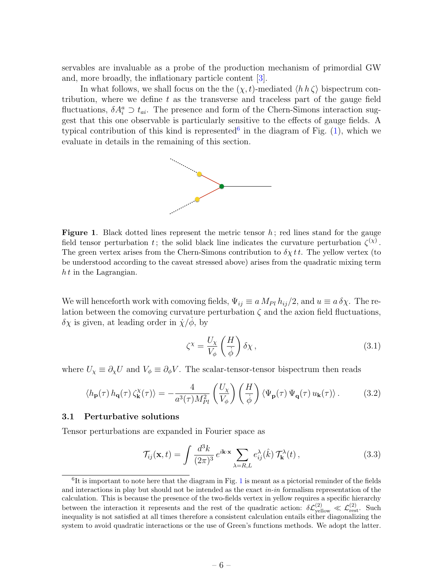servables are invaluable as a probe of the production mechanism of primordial GW and, more broadly, the inflationary particle content [\[3\]](#page-18-2).

In what follows, we shall focus on the the  $(\chi, t)$ -mediated  $\langle h \, h \, \zeta \rangle$  bispectrum contribution, where we define  $t$  as the transverse and traceless part of the gauge field fluctuations,  $\delta A_i^a \supset t_{ai}$ . The presence and form of the Chern-Simons interaction suggest that this one observable is particularly sensitive to the effects of gauge fields. A typical contribution of this kind is represented in the diagram of Fig.  $(1)$ , which we evaluate in details in the remaining of this section.



<span id="page-6-2"></span>**Figure 1.** Black dotted lines represent the metric tensor  $h$ ; red lines stand for the gauge field tensor perturbation t; the solid black line indicates the curvature perturbation  $\zeta^{(\chi)}$ . The green vertex arises from the Chern-Simons contribution to  $\delta \chi t t$ . The yellow vertex (to be understood according to the caveat stressed above) arises from the quadratic mixing term  $h t$  in the Lagrangian.

We will henceforth work with comoving fields,  $\Psi_{ij} \equiv a M_{Pl} h_{ij}/2$ , and  $u \equiv a \delta \chi$ . The relation between the comoving curvature perturbation  $\zeta$  and the axion field fluctuations,  $\delta \chi$  is given, at leading order in  $\dot{\chi}/\dot{\phi}$ , by

$$
\zeta^{\chi} = \frac{U_{\chi}}{V_{\phi}} \left(\frac{H}{\dot{\phi}}\right) \delta \chi \,, \tag{3.1}
$$

where  $U_{\chi} \equiv \partial_{\chi} U$  and  $V_{\phi} \equiv \partial_{\phi} V$ . The scalar-tensor-tensor bispectrum then reads

$$
\langle h_{\mathbf{p}}(\tau) h_{\mathbf{q}}(\tau) \zeta_{\mathbf{k}}^{\chi}(\tau) \rangle = -\frac{4}{a^3(\tau) M_{Pl}^2} \left( \frac{U_{\chi}}{V_{\phi}} \right) \left( \frac{H}{\dot{\phi}} \right) \langle \Psi_{\mathbf{p}}(\tau) \Psi_{\mathbf{q}}(\tau) u_{\mathbf{k}}(\tau) \rangle. \tag{3.2}
$$

#### <span id="page-6-0"></span>3.1 Perturbative solutions

Tensor perturbations are expanded in Fourier space as

$$
\mathcal{T}_{ij}(\mathbf{x},t) = \int \frac{d^3k}{(2\pi)^3} e^{i\mathbf{k}\cdot\mathbf{x}} \sum_{\lambda=R,L} e^{\lambda}_{ij}(\hat{k}) \mathcal{T}^{\lambda}_{\mathbf{k}}(t) , \qquad (3.3)
$$

<span id="page-6-1"></span> ${}^{6}$ It is important to note here that the diagram in Fig. [1](#page-6-2) is meant as a pictorial reminder of the fields and interactions in play but should not be intended as the exact  $in-in$  formalism representation of the calculation. This is because the presence of the two-fields vertex in yellow requires a specific hierarchy between the interaction it represents and the rest of the quadratic action:  $\delta\mathcal{L}_{\text{yellow}}^{(2)} \ll \mathcal{L}_{\text{rest}}^{(2)}$ . Such inequality is not satisfied at all times therefore a consistent calculation entails either diagonalizing the system to avoid quadratic interactions or the use of Green's functions methods. We adopt the latter.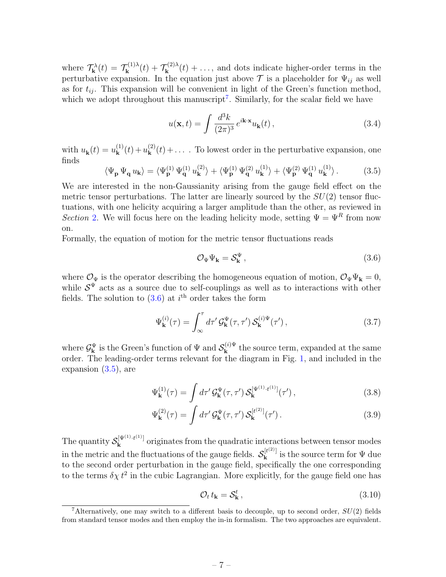where  $\mathcal{T}_{\mathbf{k}}^{\lambda}(t) = \mathcal{T}_{\mathbf{k}}^{(1)\lambda}$  $\mathbf{f}_{\mathbf{k}}^{(1)\lambda}(t)+\mathcal{T}_{\mathbf{k}}^{(2)\lambda}$  $\mathbf{k}^{(2)}(t) + \ldots$ , and dots indicate higher-order terms in the perturbative expansion. In the equation just above  $\mathcal T$  is a placeholder for  $\Psi_{ij}$  as well as for  $t_{ij}$ . This expansion will be convenient in light of the Green's function method, which we adopt throughout this manuscript<sup>[7](#page-7-0)</sup>. Similarly, for the scalar field we have

$$
u(\mathbf{x},t) = \int \frac{d^3k}{(2\pi)^3} e^{i\mathbf{k}\cdot\mathbf{x}} u_{\mathbf{k}}(t) ,
$$
 (3.4)

with  $u_{\mathbf{k}}(t) = u_{\mathbf{k}}^{(1)}$  ${\bf k}^{(1)}(t)+u_{\bf k}^{(2)}$  $k_{\mathbf{k}}^{(2)}(t) + \ldots$ . To lowest order in the perturbative expansion, one finds

<span id="page-7-2"></span>
$$
\langle \Psi_{\mathbf{p}} \, \Psi_{\mathbf{q}} \, u_{\mathbf{k}} \rangle = \langle \Psi_{\mathbf{p}}^{(1)} \, \Psi_{\mathbf{q}}^{(1)} \, u_{\mathbf{k}}^{(2)} \rangle + \langle \Psi_{\mathbf{p}}^{(1)} \, \Psi_{\mathbf{q}}^{(2)} \, u_{\mathbf{k}}^{(1)} \rangle + \langle \Psi_{\mathbf{p}}^{(2)} \, \Psi_{\mathbf{q}}^{(1)} \, u_{\mathbf{k}}^{(1)} \rangle. \tag{3.5}
$$

We are interested in the non-Gaussianity arising from the gauge field effect on the metric tensor perturbations. The latter are linearly sourced by the  $SU(2)$  tensor fluctuations, with one helicity acquiring a larger amplitude than the other, as reviewed in Section [2.](#page-3-0) We will focus here on the leading helicity mode, setting  $\Psi = \Psi^R$  from now on.

Formally, the equation of motion for the metric tensor fluctuations reads

<span id="page-7-1"></span>
$$
\mathcal{O}_{\Psi}\Psi_{\mathbf{k}} = \mathcal{S}_{\mathbf{k}}^{\Psi} \,, \tag{3.6}
$$

where  $\mathcal{O}_{\Psi}$  is the operator describing the homogeneous equation of motion,  $\mathcal{O}_{\Psi}\Psi_{\mathbf{k}}=0$ , while  $S^{\Psi}$  acts as a source due to self-couplings as well as to interactions with other fields. The solution to  $(3.6)$  at i<sup>th</sup> order takes the form

$$
\Psi_{\mathbf{k}}^{(i)}(\tau) = \int_{\infty}^{\tau} d\tau' \mathcal{G}_{\mathbf{k}}^{\Psi}(\tau, \tau') \mathcal{S}_{\mathbf{k}}^{(i)\Psi}(\tau'), \qquad (3.7)
$$

where  $\mathcal{G}_{\mathbf{k}}^{\Psi}$  is the Green's function of  $\Psi$  and  $\mathcal{S}_{\mathbf{k}}^{(i)\Psi}$  $\mathbf{k}^{(i)\Psi}$  the source term, expanded at the same order. The leading-order terms relevant for the diagram in Fig. [1,](#page-6-2) and included in the expansion [\(3.5\)](#page-7-2), are

<span id="page-7-3"></span>
$$
\Psi_{\mathbf{k}}^{(1)}(\tau) = \int d\tau' \mathcal{G}_{\mathbf{k}}^{\Psi}(\tau, \tau') \mathcal{S}_{\mathbf{k}}^{[\Psi^{(1)} \cdot t^{(1)}]}(\tau'), \qquad (3.8)
$$

$$
\Psi_{\mathbf{k}}^{(2)}(\tau) = \int d\tau' \mathcal{G}_{\mathbf{k}}^{\Psi}(\tau, \tau') \mathcal{S}_{\mathbf{k}}^{[t^{(2)}]}(\tau'). \qquad (3.9)
$$

The quantity  $\mathcal{S}_{\mathbf{k}}^{[\Psi^{(1)} \cdot t^{(1)}]}$  $\mathbf{k}^{[\Psi^{(1)}, \dots, \Psi^{(n)}]}$  originates from the quadratic interactions between tensor modes in the metric and the fluctuations of the gauge fields.  $\mathcal{S}_{\mathbf{k}}^{[t^{(2)}]}$  $\mathbf{k}^{[t^{(1)}]}$  is the source term for  $\Psi$  due to the second order perturbation in the gauge field, specifically the one corresponding to the terms  $\delta \chi t^2$  in the cubic Lagrangian. More explicitly, for the gauge field one has

$$
\mathcal{O}_t t_{\mathbf{k}} = \mathcal{S}_{\mathbf{k}}^t,\tag{3.10}
$$

<span id="page-7-0"></span><sup>&</sup>lt;sup>7</sup>Alternatively, one may switch to a different basis to decouple, up to second order,  $SU(2)$  fields from standard tensor modes and then employ the in-in formalism. The two approaches are equivalent.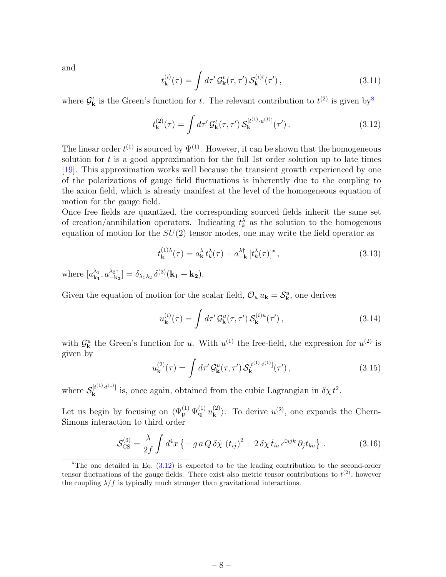and

$$
t_{\mathbf{k}}^{(i)}(\tau) = \int d\tau' \mathcal{G}_{\mathbf{k}}^{t}(\tau, \tau') \mathcal{S}_{\mathbf{k}}^{(i)t}(\tau'), \qquad (3.11)
$$

where  $\mathcal{G}_{\mathbf{k}}^t$  is the Green's function for t. The relevant contribution to  $t^{(2)}$  is given by<sup>[8](#page-8-0)</sup>

<span id="page-8-1"></span>
$$
t_{\mathbf{k}}^{(2)}(\tau) = \int d\tau' \mathcal{G}_{\mathbf{k}}^{t}(\tau, \tau') \, \mathcal{S}_{\mathbf{k}}^{[t^{(1)} \cdot u^{(1)}]}(\tau') \,. \tag{3.12}
$$

The linear order  $t^{(1)}$  is sourced by  $\Psi^{(1)}$ . However, it can be shown that the homogeneous solution for  $t$  is a good approximation for the full 1st order solution up to late times [\[19\]](#page-20-0). This approximation works well because the transient growth experienced by one of the polarizations of gauge field fluctuations is inherently due to the coupling to the axion field, which is already manifest at the level of the homogeneous equation of motion for the gauge field.

Once free fields are quantized, the corresponding sourced fields inherit the same set of creation/annihilation operators. Indicating  $t_k^{\lambda}$  as the solution to the homogenous equation of motion for the  $SU(2)$  tensor modes, one may write the field operator as

$$
t_{\mathbf{k}}^{(1)\lambda}(\tau) = a_{\mathbf{k}}^{\lambda} t_{k}^{\lambda}(\tau) + a_{-\mathbf{k}}^{\lambda\dagger} \left[ t_{k}^{\lambda}(\tau) \right]^*,
$$
\n(3.13)

where  $[a_{\mathbf{k}_1}^{\lambda_1}]$  $^{\lambda_1}_{\mathbf{k_1}},a^{\lambda_2\dagger}_{-\mathbf{k_2}}$  $\begin{aligned} \frac{\lambda_2 \uparrow}{-\mathbf{k_2}}] = \delta_{\lambda_1 \lambda_2} \, \delta^{(3)}(\mathbf{k_1} + \mathbf{k_2}). \end{aligned}$ 

Given the equation of motion for the scalar field,  $\mathcal{O}_u u_{\mathbf{k}} = \mathcal{S}_{\mathbf{k}}^u$ , one derives

$$
u_{\mathbf{k}}^{(i)}(\tau) = \int d\tau' \mathcal{G}_{\mathbf{k}}^{u}(\tau, \tau') \mathcal{S}_{\mathbf{k}}^{(i)u}(\tau'), \qquad (3.14)
$$

with  $\mathcal{G}_{\mathbf{k}}^u$  the Green's function for u. With  $u^{(1)}$  the free-field, the expression for  $u^{(2)}$  is given by

<span id="page-8-2"></span>
$$
u_{\mathbf{k}}^{(2)}(\tau) = \int d\tau' \mathcal{G}_{\mathbf{k}}^{u}(\tau, \tau') \mathcal{S}_{\mathbf{k}}^{[t^{(1)} \cdot t^{(1)}]}(\tau'), \qquad (3.15)
$$

where  $\mathcal{S}_{\mathbf{k}}^{[t^{(1)} \cdot t^{(1)}]}$  $\mathbf{k}^{[t^{(1)} \cdot t^{(1)}]}$  is, once again, obtained from the cubic Lagrangian in  $\delta \chi t^2$ .

Let us begin by focusing on  $\langle \Psi_{\mathbf{p}}^{(1)} | \Psi_{\mathbf{q}}^{(1)} | u_{\mathbf{k}}^{(2)} \rangle$  $\langle k^2 \rangle$ . To derive  $u^{(2)}$ , one expands the Chern-Simons interaction to third order

$$
\mathcal{S}_{\text{CS}}^{(3)} = \frac{\lambda}{2f} \int d^4x \left\{ -g a Q \,\delta \dot{\chi} \,\left(t_{ij}\right)^2 + 2 \,\delta \chi \,\dot{t}_{ia} \,\epsilon^{0ijk} \,\partial_j t_{ka} \right\} \,. \tag{3.16}
$$

<span id="page-8-0"></span><sup>&</sup>lt;sup>8</sup>The one detailed in Eq.  $(3.12)$  is expected to be the leading contribution to the second-order tensor fluctuations of the gauge fields. There exist also metric tensor contributions to  $t^{(2)}$ , however the coupling  $\lambda/f$  is typically much stronger than gravitational interactions.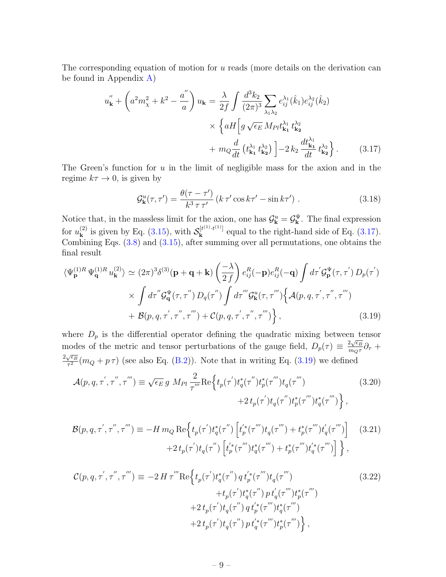The corresponding equation of motion for  $u$  reads (more details on the derivation can be found in Appendix [A\)](#page-15-0)

<span id="page-9-0"></span>
$$
u''_{\mathbf{k}} + \left(a^2 m_{\chi}^2 + k^2 - \frac{a''}{a}\right) u_{\mathbf{k}} = \frac{\lambda}{2f} \int \frac{d^3 k_2}{(2\pi)^3} \sum_{\lambda_1 \lambda_2} e^{\lambda_1}_{ij}(\hat{k}_1) e^{\lambda_2}_{ij}(\hat{k}_2)
$$

$$
\times \left\{ aH \left[ g \sqrt{\epsilon_E} M_{Pl} t^{\lambda_1}_{\mathbf{k}_1} t^{\lambda_2}_{\mathbf{k}_2} + m_Q \frac{d}{dt} \left( t^{\lambda_1}_{\mathbf{k}_1} t^{\lambda_2}_{\mathbf{k}_2} \right) \right] - 2 k_2 \frac{d t^{\lambda_1}_{\mathbf{k}_1}}{dt} t^{\lambda_2}_{\mathbf{k}_2}.
$$
 (3.17)

The Green's function for  $u$  in the limit of negligible mass for the axion and in the regime  $k\tau \to 0$ , is given by

$$
\mathcal{G}_{\mathbf{k}}^{u}(\tau,\tau') = \frac{\theta(\tau-\tau')}{k^3 \tau \tau'} \left( k \tau' \cos k\tau' - \sin k\tau' \right). \tag{3.18}
$$

Notice that, in the massless limit for the axion, one has  $\mathcal{G}_{\mathbf{k}}^u = \mathcal{G}_{\mathbf{k}}^{\Psi}$ . The final expression for  $u_{\mathbf{k}}^{(2)}$  $\mathbf{k}^{(2)}$  is given by Eq. [\(3.15\)](#page-8-2), with  $\mathcal{S}_{\mathbf{k}}^{[t^{(1)} \cdot t^{(1)}]}$  $\mathbf{k}^{[t^{(1)},t^{(2)}]}$  equal to the right-hand side of Eq. [\(3.17\)](#page-9-0). Combining Eqs. [\(3.8\)](#page-7-3) and [\(3.15\)](#page-8-2), after summing over all permutations, one obtains the final result

<span id="page-9-1"></span>
$$
\langle \Psi_{\mathbf{p}}^{(1)R} \Psi_{\mathbf{q}}^{(1)R} u_{\mathbf{k}}^{(2)} \rangle \simeq (2\pi)^3 \delta^{(3)}(\mathbf{p} + \mathbf{q} + \mathbf{k}) \left(\frac{-\lambda}{2f}\right) e_{ij}^R(-\mathbf{p}) e_{ij}^R(-\mathbf{q}) \int d\tau' \mathcal{G}_{\mathbf{p}}^{\Psi}(\tau, \tau') D_p(\tau') \times \int d\tau'' \mathcal{G}_{\mathbf{q}}^{\Psi}(\tau, \tau'') D_q(\tau'') \int d\tau''' \mathcal{G}_{\mathbf{k}}^{\Psi}(\tau, \tau''') \left\{ \mathcal{A}(p, q, \tau', \tau'', \tau''') + \mathcal{B}(p, q, \tau', \tau'', \tau''') \right\},
$$
\n(3.19)

where  $D_p$  is the differential operator defining the quadratic mixing between tensor modes of the metric and tensor perturbations of the gauge field,  $D_p(\tau) \equiv \frac{2\sqrt{\epsilon_B}}{m\sigma\tau}$  $\frac{d\sqrt{\epsilon_B}}{m_Q\tau}\partial_\tau+$  $2\sqrt{\epsilon_B}$  $\frac{\sqrt{\epsilon_B}}{\tau^2}(m_Q + p\tau)$  (see also Eq. [\(B.2\)](#page-15-2)). Note that in writing Eq. [\(3.19\)](#page-9-1) we defined

<span id="page-9-2"></span>
$$
\mathcal{A}(p,q,\tau',\tau'',\tau''') \equiv \sqrt{\epsilon_E} g \ M_{Pl} \frac{2}{\tau''} \text{Re} \Big\{ t_p(\tau') t_q^*(\tau'') t_p^*(\tau''') t_q(\tau''') + 2 t_p(\tau') t_q^*(\tau''') t_q^*(\tau''') t_q^*(\tau''') \Big\} \ , \tag{3.20}
$$

$$
\mathcal{B}(p,q,\tau',\tau'',\tau''') \equiv -H \, m_Q \, \text{Re} \Big\{ t_p(\tau') t_q^*(\tau'') \left[ t_p'^*(\tau''') t_q(\tau''') + t_p^*(\tau''') t_q'(\tau''') \right] \quad (3.21)
$$

$$
+ 2 \, t_p(\tau') t_q(\tau'') \left[ t_p'^*(\tau''') t_q^*(\tau''') + t_p^*(\tau''') t_q'^*(\tau''') \right] \Big\} \,,
$$

<span id="page-9-3"></span>
$$
\mathcal{C}(p,q,\tau',\tau'',\tau''') \equiv -2 H \tau''' \text{Re} \Big\{ t_p(\tau') t_q^*(\tau'') q t_p'^*(\tau''') t_q(\tau''') + t_p(\tau') t_q^*(\tau''') p t_q'(\tau''') t_p^*(\tau''') + 2 t_p(\tau') t_q(\tau'') q t_p'^*(\tau''') t_q^*(\tau''') + 2 t_p(\tau') t_q(\tau'') p t_q'^*(\tau''') t_p^*(\tau''') \Big\},
$$
\n(3.22)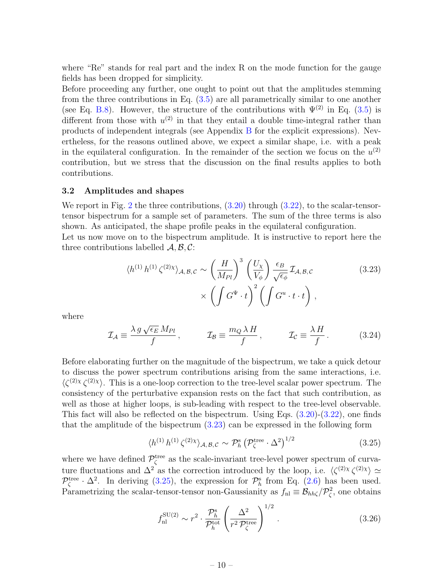where "Re" stands for real part and the index R on the mode function for the gauge fields has been dropped for simplicity.

Before proceeding any further, one ought to point out that the amplitudes stemming from the three contributions in Eq. [\(3.5\)](#page-7-2) are all parametrically similar to one another (see Eq. [B.8\)](#page-16-1). However, the structure of the contributions with  $\Psi^{(2)}$  in Eq. [\(3.5\)](#page-7-2) is different from those with  $u^{(2)}$  in that they entail a double time-integral rather than products of independent integrals (see Appendix [B](#page-15-1) for the explicit expressions). Nevertheless, for the reasons outlined above, we expect a similar shape, i.e. with a peak in the equilateral configuration. In the remainder of the section we focus on the  $u^{(2)}$ contribution, but we stress that the discussion on the final results applies to both contributions.

#### <span id="page-10-0"></span>3.2 Amplitudes and shapes

We report in Fig. [2](#page-11-0) the three contributions,  $(3.20)$  through  $(3.22)$ , to the scalar-tensortensor bispectrum for a sample set of parameters. The sum of the three terms is also shown. As anticipated, the shape profile peaks in the equilateral configuration. Let us now move on to the bispectrum amplitude. It is instructive to report here the three contributions labelled  $\mathcal{A}, \mathcal{B}, \mathcal{C}$ :

<span id="page-10-1"></span>
$$
\langle h^{(1)} h^{(1)} \zeta^{(2)\chi} \rangle_{\mathcal{A}, \mathcal{B}, \mathcal{C}} \sim \left(\frac{H}{M_{Pl}}\right)^3 \left(\frac{U_{\chi}}{V_{\phi}}\right) \frac{\epsilon_B}{\sqrt{\epsilon_{\phi}}} \mathcal{I}_{\mathcal{A}, \mathcal{B}, \mathcal{C}}
$$
\n
$$
\times \left(\int G^{\Psi} \cdot t\right)^2 \left(\int G^{\Psi} \cdot t \cdot t\right), \qquad (3.23)
$$

where

<span id="page-10-4"></span>
$$
\mathcal{I}_{\mathcal{A}} \equiv \frac{\lambda \, g \, \sqrt{\epsilon_E} \, M_{Pl}}{f} \,, \qquad \mathcal{I}_{\mathcal{B}} \equiv \frac{m_Q \, \lambda \, H}{f} \,, \qquad \mathcal{I}_{\mathcal{C}} \equiv \frac{\lambda \, H}{f} \,. \tag{3.24}
$$

Before elaborating further on the magnitude of the bispectrum, we take a quick detour to discuss the power spectrum contributions arising from the same interactions, i.e.  $\langle \zeta^{(2)} \chi \zeta^{(2)} \chi \rangle$ . This is a one-loop correction to the tree-level scalar power spectrum. The consistency of the perturbative expansion rests on the fact that such contribution, as well as those at higher loops, is sub-leading with respect to the tree-level observable. This fact will also be reflected on the bispectrum. Using Eqs.  $(3.20)$ - $(3.22)$ , one finds that the amplitude of the bispectrum [\(3.23\)](#page-10-1) can be expressed in the following form

<span id="page-10-2"></span>
$$
\langle h^{(1)}\,h^{(1)}\,\zeta^{(2)\chi}\rangle_{\mathcal{A},\mathcal{B},\mathcal{C}} \sim \mathcal{P}_h^{\rm s} \left(\mathcal{P}_\zeta^{\rm tree}\cdot\Delta^2\right)^{1/2} \tag{3.25}
$$

where we have defined  $\mathcal{P}_{\zeta}^{\text{tree}}$  as the scale-invariant tree-level power spectrum of curvature fluctuations and  $\Delta^2$  as the correction introduced by the loop, i.e.  $\langle \zeta^{(2)} \chi \zeta^{(2)} \chi \rangle \simeq$  $\mathcal{P}_{\zeta}^{\text{tree}} \cdot \Delta^2$ . In deriving [\(3.25\)](#page-10-2), the expression for  $\mathcal{P}_{h}^{\text{s}}$  from Eq. [\(2.6\)](#page-4-1) has been used. Parametrizing the scalar-tensor-tensor non-Gaussianity as  $f_{\text{nl}} \equiv \mathcal{B}_{hh\zeta}/\mathcal{P}_{\zeta}^2$ , one obtains

<span id="page-10-3"></span>
$$
f_{\rm nl}^{\rm SU(2)} \sim r^2 \cdot \frac{\mathcal{P}_h^{\rm s}}{\mathcal{P}_h^{\rm tot}} \left(\frac{\Delta^2}{r^2 \mathcal{P}_\zeta^{\rm tree}}\right)^{1/2}.
$$
 (3.26)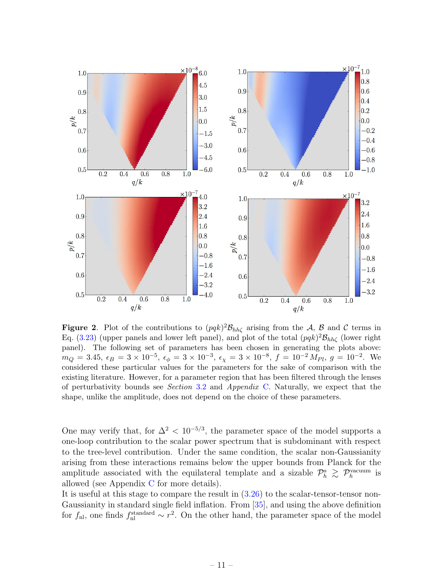

<span id="page-11-0"></span>**Figure 2.** Plot of the contributions to  $(pqk)^2 \mathcal{B}_{hh\zeta}$  arising from the A, B and C terms in Eq. [\(3.23\)](#page-10-1) (upper panels and lower left panel), and plot of the total  $(pqk)^2 \mathcal{B}_{hh\zeta}$  (lower right panel). The following set of parameters has been chosen in generating the plots above:  $m_Q = 3.45, \ \epsilon_B = 3 \times 10^{-5}, \ \epsilon_{\phi} = 3 \times 10^{-3}, \ \epsilon_{\chi} = 3 \times 10^{-8}, \ f = 10^{-2} M_{Pl}, \ g = 10^{-2}.$  We considered these particular values for the parameters for the sake of comparison with the existing literature. However, for a parameter region that has been filtered through the lenses of perturbativity bounds see Section [3.2](#page-10-0) and Appendix [C.](#page-16-0) Naturally, we expect that the shape, unlike the amplitude, does not depend on the choice of these parameters.

One may verify that, for  $\Delta^2 < 10^{-5/3}$ , the parameter space of the model supports a one-loop contribution to the scalar power spectrum that is subdominant with respect to the tree-level contribution. Under the same condition, the scalar non-Gaussianity arising from these interactions remains below the upper bounds from Planck for the amplitude associated with the equilateral template and a sizable  $\mathcal{P}_h^s \geq \mathcal{P}_h^{\text{vacuum}}$  is allowed (see Appendix [C](#page-16-0) for more details).

It is useful at this stage to compare the result in [\(3.26\)](#page-10-3) to the scalar-tensor-tensor non-Gaussianity in standard single field inflation. From [\[35\]](#page-20-14), and using the above definition for  $f_{\rm nl}$ , one finds  $f_{\rm nl}^{\rm standard} \sim r^2$ . On the other hand, the parameter space of the model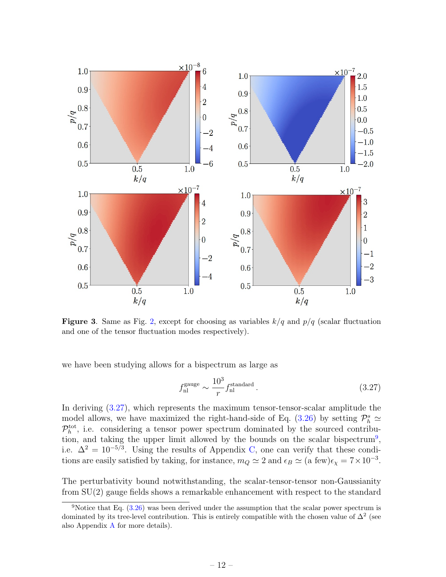

<span id="page-12-2"></span>**Figure 3.** Same as Fig. [2,](#page-11-0) except for choosing as variables  $k/q$  and  $p/q$  (scalar fluctuation and one of the tensor fluctuation modes respectively).

we have been studying allows for a bispectrum as large as

<span id="page-12-0"></span>
$$
f_{\rm nl}^{\rm gauge} \sim \frac{10^3}{r} f_{\rm nl}^{\rm standard} \,. \tag{3.27}
$$

In deriving [\(3.27\)](#page-12-0), which represents the maximum tensor-tensor-scalar amplitude the model allows, we have maximized the right-hand-side of Eq. [\(3.26\)](#page-10-3) by setting  $\mathcal{P}_h^s \simeq$  $\mathcal{P}_h^{\text{tot}}$ , i.e. considering a tensor power spectrum dominated by the sourced contribu-tion, and taking the upper limit allowed by the bounds on the scalar bispectrum<sup>[9](#page-12-1)</sup>, i.e.  $\Delta^2 = 10^{-5/3}$ . Using the results of Appendix [C,](#page-16-0) one can verify that these conditions are easily satisfied by taking, for instance,  $m_Q \simeq 2$  and  $\epsilon_B \simeq (a \text{ few})\epsilon_\chi = 7 \times 10^{-3}$ .

The perturbativity bound notwithstanding, the scalar-tensor-tensor non-Gaussianity from SU(2) gauge fields shows a remarkable enhancement with respect to the standard

<span id="page-12-1"></span><sup>&</sup>lt;sup>9</sup>Notice that Eq.  $(3.26)$  was been derived under the assumption that the scalar power spectrum is dominated by its tree-level contribution. This is entirely compatible with the chosen value of  $\Delta^2$  (see also Appendix [A](#page-15-0) for more details).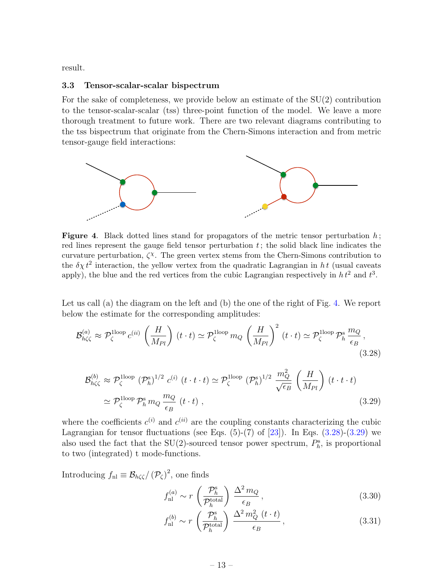result.

#### <span id="page-13-0"></span>3.3 Tensor-scalar-scalar bispectrum

For the sake of completeness, we provide below an estimate of the  $SU(2)$  contribution to the tensor-scalar-scalar (tss) three-point function of the model. We leave a more thorough treatment to future work. There are two relevant diagrams contributing to the tss bispectrum that originate from the Chern-Simons interaction and from metric tensor-gauge field interactions:



<span id="page-13-1"></span>**Figure 4.** Black dotted lines stand for propagators of the metric tensor perturbation  $h$ ; red lines represent the gauge field tensor perturbation  $t$ ; the solid black line indicates the curvature perturbation,  $\zeta^{\chi}$ . The green vertex stems from the Chern-Simons contribution to the  $\delta \chi t^2$  interaction, the yellow vertex from the quadratic Lagrangian in ht (usual caveats apply), the blue and the red vertices from the cubic Lagrangian respectively in  $h t^2$  and  $t^3$ .

Let us call (a) the diagram on the left and (b) the one of the right of Fig. [4.](#page-13-1) We report below the estimate for the corresponding amplitudes:

<span id="page-13-2"></span>
$$
\mathcal{B}_{h\zeta\zeta}^{(a)} \approx \mathcal{P}_{\zeta}^{\text{1loop}} c^{(ii)} \left(\frac{H}{M_{Pl}}\right) (t \cdot t) \simeq \mathcal{P}_{\zeta}^{\text{1loop}} m_Q \left(\frac{H}{M_{Pl}}\right)^2 (t \cdot t) \simeq \mathcal{P}_{\zeta}^{\text{1loop}} \mathcal{P}_{h}^{\text{s}} \frac{m_Q}{\epsilon_B},
$$
\n(3.28)

<span id="page-13-3"></span>
$$
\mathcal{B}_{h\zeta\zeta}^{(b)} \approx \mathcal{P}_{\zeta}^{\text{1loop}} \left(\mathcal{P}_{h}^{\text{s}}\right)^{1/2} c^{(i)} \left(t \cdot t \cdot t\right) \simeq \mathcal{P}_{\zeta}^{\text{1loop}} \left(\mathcal{P}_{h}^{\text{s}}\right)^{1/2} \frac{m_{Q}^{2}}{\sqrt{\epsilon_{B}}} \left(\frac{H}{M_{Pl}}\right) \left(t \cdot t \cdot t\right)
$$
\n
$$
\simeq \mathcal{P}_{\zeta}^{\text{1loop}} \mathcal{P}_{h}^{\text{s}} m_{Q} \frac{m_{Q}}{\epsilon_{B}} \left(t \cdot t\right), \qquad (3.29)
$$

where the coefficients  $c^{(i)}$  and  $c^{(ii)}$  are the coupling constants characterizing the cubic Lagrangian for tensor fluctuations (see Eqs.  $(5)-(7)$  of  $[23]$ ). In Eqs.  $(3.28)-(3.29)$  $(3.28)-(3.29)$  $(3.28)-(3.29)$  we also used the fact that the SU(2)-sourced tensor power spectrum,  $P_h^s$ , is proportional to two (integrated) t mode-functions.

Introducing  $f_{\text{nl}} \equiv \mathcal{B}_{h\zeta\zeta}/(\mathcal{P}_{\zeta})^2$ , one finds

<span id="page-13-4"></span>
$$
f_{\rm nl}^{(a)} \sim r \left(\frac{\mathcal{P}_h^{\rm s}}{\mathcal{P}_h^{\rm total}}\right) \frac{\Delta^2 m_Q}{\epsilon_B},\tag{3.30}
$$

$$
f_{\rm nl}^{(b)} \sim r \left(\frac{\mathcal{P}_h^{\rm s}}{\mathcal{P}_h^{\rm total}}\right) \frac{\Delta^2 m_Q^2 \left(t \cdot t\right)}{\epsilon_B},\tag{3.31}
$$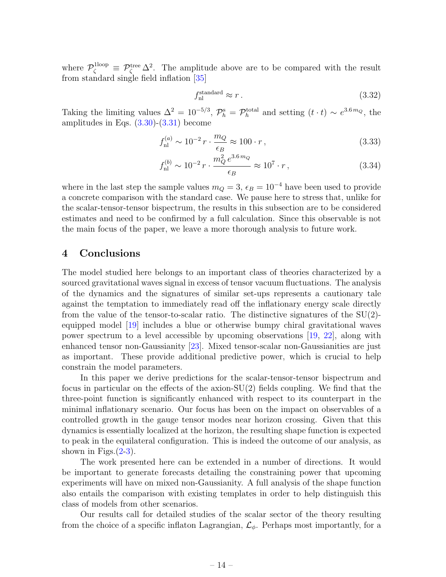where  $\mathcal{P}_{\zeta}^{\text{1loop}} \equiv \mathcal{P}_{\zeta}^{\text{tree}} \Delta^2$ . The amplitude above are to be compared with the result from standard single field inflation [\[35\]](#page-20-14)

$$
f_{\rm nl}^{\rm standard} \approx r \,. \tag{3.32}
$$

Taking the limiting values  $\Delta^2 = 10^{-5/3}$ ,  $\mathcal{P}_h^s = \mathcal{P}_h^{\text{total}}$  and setting  $(t \cdot t) \sim e^{3.6 m_Q}$ , the amplitudes in Eqs.  $(3.30)-(3.31)$  $(3.30)-(3.31)$  $(3.30)-(3.31)$  become

$$
f_{\rm nl}^{(a)} \sim 10^{-2} \, r \cdot \frac{m_Q}{\epsilon_B} \approx 100 \cdot r \,, \tag{3.33}
$$

$$
f_{\rm nl}^{(b)} \sim 10^{-2} \, r \cdot \frac{m_Q^2 \, e^{3.6 \, m_Q}}{\epsilon_B} \approx 10^7 \cdot r \,, \tag{3.34}
$$

where in the last step the sample values  $m_Q = 3$ ,  $\epsilon_B = 10^{-4}$  have been used to provide a concrete comparison with the standard case. We pause here to stress that, unlike for the scalar-tensor-tensor bispectrum, the results in this subsection are to be considered estimates and need to be confirmed by a full calculation. Since this observable is not the main focus of the paper, we leave a more thorough analysis to future work.

# <span id="page-14-0"></span>4 Conclusions

The model studied here belongs to an important class of theories characterized by a sourced gravitational waves signal in excess of tensor vacuum fluctuations. The analysis of the dynamics and the signatures of similar set-ups represents a cautionary tale against the temptation to immediately read off the inflationary energy scale directly from the value of the tensor-to-scalar ratio. The distinctive signatures of the  $SU(2)$ equipped model [\[19\]](#page-20-0) includes a blue or otherwise bumpy chiral gravitational waves power spectrum to a level accessible by upcoming observations [\[19,](#page-20-0) [22\]](#page-20-3), along with enhanced tensor non-Gaussianity [\[23\]](#page-20-4). Mixed tensor-scalar non-Gaussianities are just as important. These provide additional predictive power, which is crucial to help constrain the model parameters.

In this paper we derive predictions for the scalar-tensor-tensor bispectrum and focus in particular on the effects of the axion-SU(2) fields coupling. We find that the three-point function is significantly enhanced with respect to its counterpart in the minimal inflationary scenario. Our focus has been on the impact on observables of a controlled growth in the gauge tensor modes near horizon crossing. Given that this dynamics is essentially localized at the horizon, the resulting shape function is expected to peak in the equilateral configuration. This is indeed the outcome of our analysis, as shown in Figs. $(2-3)$  $(2-3)$ .

The work presented here can be extended in a number of directions. It would be important to generate forecasts detailing the constraining power that upcoming experiments will have on mixed non-Gaussianity. A full analysis of the shape function also entails the comparison with existing templates in order to help distinguish this class of models from other scenarios.

Our results call for detailed studies of the scalar sector of the theory resulting from the choice of a specific inflaton Lagrangian,  $\mathcal{L}_{\phi}$ . Perhaps most importantly, for a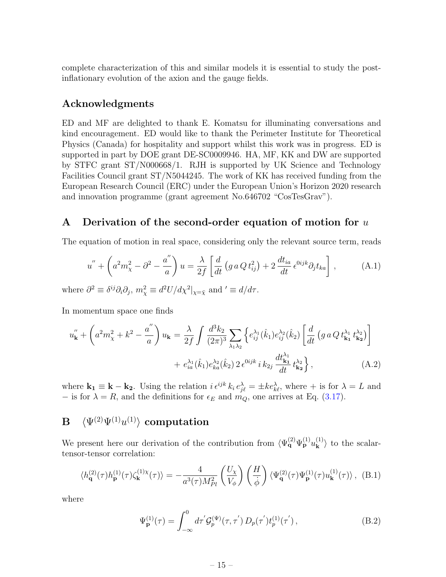complete characterization of this and similar models it is essential to study the postinflationary evolution of the axion and the gauge fields.

# Acknowledgments

ED and MF are delighted to thank E. Komatsu for illuminating conversations and kind encouragement. ED would like to thank the Perimeter Institute for Theoretical Physics (Canada) for hospitality and support whilst this work was in progress. ED is supported in part by DOE grant DE-SC0009946. HA, MF, KK and DW are supported by STFC grant ST/N000668/1. RJH is supported by UK Science and Technology Facilities Council grant ST/N5044245. The work of KK has received funding from the European Research Council (ERC) under the European Union's Horizon 2020 research and innovation programme (grant agreement No.646702 "CosTesGrav").

## <span id="page-15-0"></span>A Derivation of the second-order equation of motion for u

The equation of motion in real space, considering only the relevant source term, reads

$$
u'' + \left(a^2 m_\chi^2 - \partial^2 - \frac{a''}{a}\right)u = \frac{\lambda}{2f} \left[\frac{d}{dt} \left(g \, a \, Q \, t_{ij}^2\right) + 2 \, \frac{d t_{ia}}{dt} \, \epsilon^{0ijk} \partial_j t_{ka}\right],\tag{A.1}
$$

where  $\partial^2 \equiv \delta^{ij} \partial_i \partial_j$ ,  $m_\chi^2 \equiv d^2 U/d\chi^2|_{\chi = \bar{\chi}}$  and  $\ell \equiv d/d\tau$ .

In momentum space one finds

$$
u''_{\mathbf{k}} + \left( a^2 m_{\chi}^2 + k^2 - \frac{a''}{a} \right) u_{\mathbf{k}} = \frac{\lambda}{2f} \int \frac{d^3 k_2}{(2\pi)^3} \sum_{\lambda_1 \lambda_2} \left\{ e_{ij}^{\lambda_1}(\hat{k}_1) e_{ij}^{\lambda_2}(\hat{k}_2) \left[ \frac{d}{dt} \left( g \, a \, Q \, t_{\mathbf{k}_1}^{\lambda_1} t_{\mathbf{k}_2}^{\lambda_2} \right) \right] \right. \\ \left. + e_{ia}^{\lambda_1}(\hat{k}_1) e_{ka}^{\lambda_2}(\hat{k}_2) \, 2 \, \epsilon^{0ijk} \, i \, k_{2j} \, \frac{d t_{\mathbf{k}_1}^{\lambda_1}}{dt} \, t_{\mathbf{k}_2}^{\lambda_2} \right\}, \tag{A.2}
$$

where  $\mathbf{k_1} \equiv \mathbf{k} - \mathbf{k_2}$ . Using the relation  $i \epsilon^{ijk} k_i e_{j\ell}^{\lambda} = \pm k e_{k\ell}^{\lambda}$ , where  $+$  is for  $\lambda = L$  and − is for  $\lambda = R$ , and the definitions for  $\epsilon_E$  and  $m_Q$ , one arrives at Eq. [\(3.17\)](#page-9-0).

# <span id="page-15-1"></span> $\mathrm{\mathbf{B}} \quad \langle \Psi^{(2)} \Psi^{(1)} u^{(1)} \rangle \,\, \text{computation}$

We present here our derivation of the contribution from  $\langle \Psi_{\mathbf{q}}^{(2)} \Psi_{\mathbf{p}}^{(1)} u_{\mathbf{k}}^{(1)} \rangle$  $\langle \mathbf{k} \rangle$  to the scalartensor-tensor correlation:

$$
\langle h_{\mathbf{q}}^{(2)}(\tau)h_{\mathbf{p}}^{(1)}(\tau)\zeta_{\mathbf{k}}^{(1)\chi}(\tau)\rangle = -\frac{4}{a^3(\tau)M_{Pl}^2} \left(\frac{U_{\chi}}{V_{\phi}}\right) \left(\frac{H}{\dot{\phi}}\right) \langle \Psi_{\mathbf{q}}^{(2)}(\tau)\Psi_{\mathbf{p}}^{(1)}(\tau)u_{\mathbf{k}}^{(1)}(\tau)\rangle, \tag{B.1}
$$

where

<span id="page-15-2"></span>
$$
\Psi_{\mathbf{p}}^{(1)}(\tau) = \int_{-\infty}^{0} d\tau' \mathcal{G}_{p}^{(\Psi)}(\tau, \tau') D_{p}(\tau') t_{p}^{(1)}(\tau'), \qquad (B.2)
$$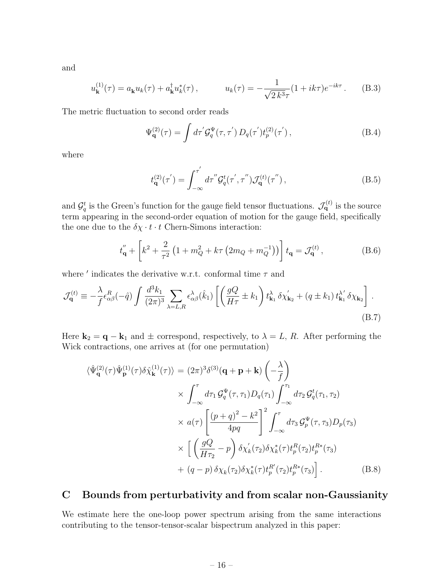and

$$
u_{\mathbf{k}}^{(1)}(\tau) = a_{\mathbf{k}} u_k(\tau) + a_{\mathbf{k}}^{\dagger} u_k^*(\tau), \qquad u_k(\tau) = -\frac{1}{\sqrt{2 k^3} \tau} (1 + ik\tau) e^{-ik\tau}.
$$
 (B.3)

The metric fluctuation to second order reads

<span id="page-16-2"></span>
$$
\Psi_{\mathbf{q}}^{(2)}(\tau) = \int d\tau' \mathcal{G}_q^{\Psi}(\tau, \tau') D_q(\tau') t_p^{(2)}(\tau'), \qquad (B.4)
$$

where

<span id="page-16-3"></span>
$$
t_{\mathbf{q}}^{(2)}(\tau') = \int_{-\infty}^{\tau'} d\tau'' \mathcal{G}_q^t(\tau', \tau'') \mathcal{J}_{\mathbf{q}}^{(t)}(\tau''),
$$
 (B.5)

and  $\mathcal{G}_q^t$  is the Green's function for the gauge field tensor fluctuations.  $\mathcal{J}_q^{(t)}$  is the source term appearing in the second-order equation of motion for the gauge field, specifically the one due to the  $\delta \chi \cdot t \cdot t$  Chern-Simons interaction:

$$
t''_{\mathbf{q}} + \left[k^2 + \frac{2}{\tau^2} \left(1 + m_Q^2 + k\tau \left(2m_Q + m_Q^{-1}\right)\right)\right] t_{\mathbf{q}} = \mathcal{J}_{\mathbf{q}}^{(t)},\tag{B.6}
$$

where  $\prime$  indicates the derivative w.r.t. conformal time  $\tau$  and

<span id="page-16-4"></span>
$$
\mathcal{J}_{\mathbf{q}}^{(t)} \equiv -\frac{\lambda}{f} \epsilon_{\alpha\beta}^{R}(-\hat{q}) \int \frac{d^3 k_1}{(2\pi)^3} \sum_{\lambda=L,R} \epsilon_{\alpha\beta}^{\lambda}(\hat{k}_1) \left[ \left( \frac{gQ}{H\tau} \pm k_1 \right) t_{\mathbf{k}_1}^{\lambda} \delta \chi_{\mathbf{k}_2}^{\prime} + (q \pm k_1) t_{\mathbf{k}_1}^{\lambda^{\prime}} \delta \chi_{\mathbf{k}_2} \right].
$$
\n(B.7)

Here  $\mathbf{k}_2 = \mathbf{q} - \mathbf{k}_1$  and  $\pm$  correspond, respectively, to  $\lambda = L$ , R. After performing the Wick contractions, one arrives at (for one permutation)

<span id="page-16-1"></span>
$$
\langle \hat{\Psi}_{\mathbf{q}}^{(2)}(\tau) \hat{\Psi}_{\mathbf{p}}^{(1)}(\tau) \delta \hat{\chi}_{\mathbf{k}}^{(1)}(\tau) \rangle = (2\pi)^{3} \delta^{(3)}(\mathbf{q} + \mathbf{p} + \mathbf{k}) \left( -\frac{\lambda}{f} \right)
$$
  
 
$$
\times \int_{-\infty}^{\tau} d\tau_{1} \mathcal{G}_{q}^{\Psi}(\tau, \tau_{1}) D_{q}(\tau_{1}) \int_{-\infty}^{\tau_{1}} d\tau_{2} \mathcal{G}_{q}^{t}(\tau_{1}, \tau_{2})
$$
  
 
$$
\times a(\tau) \left[ \frac{(p+q)^{2} - k^{2}}{4pq} \right]^{2} \int_{-\infty}^{\tau} d\tau_{3} \mathcal{G}_{p}^{\Psi}(\tau, \tau_{3}) D_{p}(\tau_{3})
$$
  
 
$$
\times \left[ \left( \frac{gQ}{H\tau_{2}} - p \right) \delta \chi_{k}^{\prime}(\tau_{2}) \delta \chi_{k}^{*}(\tau) t_{p}^{R}(\tau_{2}) t_{p}^{R*}(\tau_{3}) + (q-p) \delta \chi_{k}(\tau_{2}) \delta \chi_{k}^{*}(\tau) t_{p}^{R*}(\tau_{3}) \right]. \tag{B.8}
$$

# <span id="page-16-0"></span>C Bounds from perturbativity and from scalar non-Gaussianity

We estimate here the one-loop power spectrum arising from the same interactions contributing to the tensor-tensor-scalar bispectrum analyzed in this paper: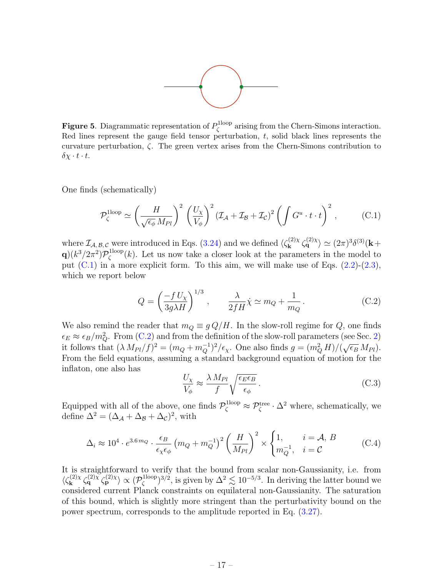

**Figure 5.** Diagrammatic representation of  $P_{\zeta}^{\text{1loop}}$  $\zeta^{\text{1loop}}$  arising from the Chern-Simons interaction. Red lines represent the gauge field tensor perturbation,  $t$ , solid black lines represents the curvature perturbation,  $\zeta$ . The green vertex arises from the Chern-Simons contribution to  $\delta \chi \cdot t \cdot t$ .

One finds (schematically)

<span id="page-17-0"></span>
$$
\mathcal{P}_{\zeta}^{\text{1loop}} \simeq \left(\frac{H}{\sqrt{\epsilon_{\phi}} M_{Pl}}\right)^2 \left(\frac{U_{\chi}}{V_{\phi}}\right)^2 \left(\mathcal{I}_{\mathcal{A}} + \mathcal{I}_{\mathcal{B}} + \mathcal{I}_{\mathcal{C}}\right)^2 \left(\int G^u \cdot t \cdot t\right)^2, \tag{C.1}
$$

where  $\mathcal{I}_{A,B,C}$  were introduced in Eqs. [\(3.24\)](#page-10-4) and we defined  $\langle \zeta_{\mathbf{k}}^{(2)} \rangle$  $\langle \mathbf{k}^{(2)} \times \mathbf{k}^{(2)} \rangle \simeq (2\pi)^3 \delta^{(3)}(\mathbf{k}+$  ${\bf q}) (k^3/2\pi^2) {\cal P}_\zeta^{\rm 1loop}$  $\zeta^{1\text{loop}}(k)$ . Let us now take a closer look at the parameters in the model to put  $(C.1)$  in a more explicit form. To this aim, we will make use of Eqs.  $(2.2)-(2.3)$  $(2.2)-(2.3)$  $(2.2)-(2.3)$ , which we report below

<span id="page-17-1"></span>
$$
Q = \left(\frac{-f U_{\chi}}{3g\lambda H}\right)^{1/3}, \qquad \frac{\lambda}{2fH}\dot{\chi} \simeq m_Q + \frac{1}{m_Q}.
$$
 (C.2)

We also remind the reader that  $m_Q \equiv g Q/H$ . In the slow-roll regime for  $Q$ , one finds  $\epsilon_E \approx \epsilon_B/m_Q^2$ . From [\(C.2\)](#page-17-1) and from the definition of the slow-roll parameters (see Sec. [2\)](#page-3-0) it follows that  $(\lambda M_{Pl}/f)^2 = (m_Q + m_Q^{-1})^2/\epsilon_{\chi}$ . One also finds  $g = (m_Q^2 H)/(\sqrt{\epsilon_B} M_{Pl})$ . From the field equations, assuming a standard background equation of motion for the inflaton, one also has

$$
\frac{U_{\chi}}{V_{\phi}} \approx \frac{\lambda \, M_{Pl}}{f} \sqrt{\frac{\epsilon_E \epsilon_B}{\epsilon_{\phi}}} \,. \tag{C.3}
$$

Equipped with all of the above, one finds  $\mathcal{P}_{\zeta}^{\text{1loop}} \approx \mathcal{P}_{\zeta}^{\text{tree}} \cdot \Delta^2$  where, schematically, we define  $\Delta^2 = (\Delta_{\mathcal{A}} + \Delta_{\mathcal{B}} + \Delta_{\mathcal{C}})^2$ , with

$$
\Delta_i \approx 10^4 \cdot e^{3.6 m_Q} \cdot \frac{\epsilon_B}{\epsilon_\chi \epsilon_\phi} \left( m_Q + m_Q^{-1} \right)^2 \left( \frac{H}{M_{Pl}} \right)^2 \times \begin{cases} 1, & i = \mathcal{A}, B \\ m_Q^{-1}, & i = \mathcal{C} \end{cases}
$$
 (C.4)

It is straightforward to verify that the bound from scalar non-Gaussianity, i.e. from  $\langle \zeta_{\mathbf{k}}^{(2)} \rangle$  $\chi_{\bf k}^{(2)\chi} \zeta_{\bf q}^{(2)\chi} \zeta_{\bf p}^{(2)\chi} \rangle \propto (\mathcal{P}_\zeta^{\rm 1loop})$  $(\zeta^{1\text{loop}})^{3/2}$ , is given by  $\Delta^2 \lesssim 10^{-5/3}$ . In deriving the latter bound we considered current Planck constraints on equilateral non-Gaussianity. The saturation of this bound, which is slightly more stringent than the perturbativity bound on the power spectrum, corresponds to the amplitude reported in Eq. [\(3.27\)](#page-12-0).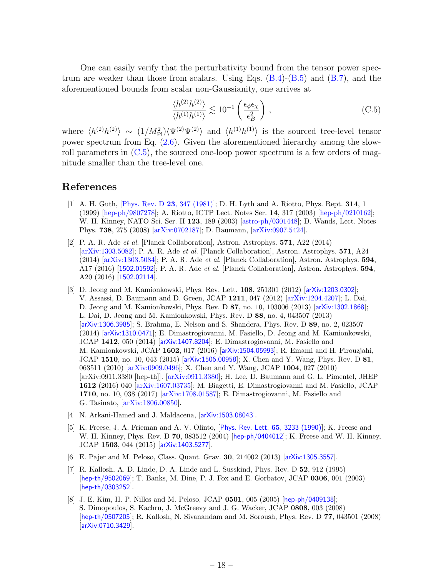One can easily verify that the perturbativity bound from the tensor power spectrum are weaker than those from scalars. Using Eqs.  $(B.4)$ - $(B.5)$  and  $(B.7)$ , and the aforementioned bounds from scalar non-Gaussianity, one arrives at

<span id="page-18-8"></span>
$$
\frac{\langle h^{(2)}h^{(2)}\rangle}{\langle h^{(1)}h^{(1)}\rangle} \lesssim 10^{-1} \left(\frac{\epsilon_{\phi}\epsilon_{\chi}}{\epsilon_{B}^{2}}\right) ,\qquad (C.5)
$$

where  $\langle h^{(2)}h^{(2)} \rangle \sim (1/M_{\rm Pl}^2) \langle \Psi^{(2)}\Psi^{(2)} \rangle$  and  $\langle h^{(1)}h^{(1)} \rangle$  is the sourced tree-level tensor power spectrum from Eq. [\(2.6\)](#page-4-1). Given the aforementioned hierarchy among the slowroll parameters in  $(C.5)$ , the sourced one-loop power spectrum is a few orders of magnitude smaller than the tree-level one.

#### References

- <span id="page-18-0"></span>[1] A. H. Guth, [\[Phys. Rev. D](http://inspirehep.net/record/154280) 23, 347 (1981)]; D. H. Lyth and A. Riotto, Phys. Rept. 314, 1 (1999) [\[hep-ph/9807278\]](https://arxiv.org/abs/hep-ph/9807278); A. Riotto, ICTP Lect. Notes Ser. 14, 317 (2003) [\[hep-ph/0210162\]](https://arxiv.org/abs/hep-ph/0210162); W. H. Kinney, NATO Sci. Ser. II 123, 189 (2003) [\[astro-ph/0301448\]](https://arxiv.org/abs/astro-ph/0301448); D. Wands, Lect. Notes Phys. 738, 275 (2008) [\[arXiv:0702187\]](https://arxiv.org/abs/astro-ph/0702187); D. Baumann, [\[arXiv:0907.5424\]](https://arxiv.org/abs/0907.5424).
- <span id="page-18-1"></span>[2] P. A. R. Ade et al. [Planck Collaboration], Astron. Astrophys. 571, A22 (2014) [\[arXiv:1303.5082\]](https://arxiv.org/abs/1303.5082); P. A. R. Ade et al. [Planck Collaboration], Astron. Astrophys. 571, A24 (2014) [\[arXiv:1303.5084\]](https://arxiv.org/abs/1303.5084); P. A. R. Ade et al. [Planck Collaboration], Astron. Astrophys. 594, A17 (2016) [[1502.01592](http://arxiv.org/abs/1502.01592)]; P. A. R. Ade et al. [Planck Collaboration], Astron. Astrophys. 594, A20 (2016) [[1502.02114](http://arxiv.org/abs/1502.02114)].
- <span id="page-18-2"></span>[3] D. Jeong and M. Kamionkowski, Phys. Rev. Lett. **108**, 251301 (2012) [[arXiv:1203.0302](http://arxiv.org/abs/1203.0302)]; V. Assassi, D. Baumann and D. Green, JCAP 1211, 047 (2012) [\[arXiv:1204.4207\]](https://arxiv.org/abs/1204.4207); L. Dai, D. Jeong and M. Kamionkowski, Phys. Rev. D 87, no. 10, 103006 (2013) [[arXiv:1302.1868](http://arxiv.org/abs/1302.1868)]; L. Dai, D. Jeong and M. Kamionkowski, Phys. Rev. D 88, no. 4, 043507 (2013) [[arXiv:1306.3985](http://arxiv.org/abs/1306.3985)]; S. Brahma, E. Nelson and S. Shandera, Phys. Rev. D 89, no. 2, 023507 (2014) [[arXiv:1310.0471](http://arxiv.org/abs/1310.0471)]; E. Dimastrogiovanni, M. Fasiello, D. Jeong and M. Kamionkowski, JCAP 1412, 050 (2014) [[arXiv:1407.8204](http://arxiv.org/abs/1407.8204)]; E. Dimastrogiovanni, M. Fasiello and M. Kamionkowski, JCAP 1602, 017 (2016) [[arXiv:1504.05993](http://arxiv.org/abs/1504.05993)]; R. Emami and H. Firouzjahi, JCAP 1510, no. 10, 043 (2015) [[arXiv:1506.00958](http://arxiv.org/abs/1506.00958)]; X. Chen and Y. Wang, Phys. Rev. D 81, 063511 (2010) [\[arXiv:0909.0496\]](http://arxiv.org/abs/0909.0496); X. Chen and Y. Wang, JCAP 1004, 027 (2010) [arXiv:0911.3380 [hep-th]]. [\[arXiv:0911.3380\]](http://arxiv.org/abs/0911.3380); H. Lee, D. Baumann and G. L. Pimentel, JHEP 1612 (2016) 040 [\[arXiv:1607.03735\]](http://arxiv.org/abs/1607.03735); M. Biagetti, E. Dimastrogiovanni and M. Fasiello, JCAP 1710, no. 10, 038 (2017) [\[arXiv:1708.01587\]](https://arxiv.org/abs/1708.01587); E. Dimastrogiovanni, M. Fasiello and G. Tasinato, [\[arXiv:1806.00850\]](https://arxiv.org/abs/1806.00850).
- <span id="page-18-3"></span>[4] N. Arkani-Hamed and J. Maldacena, [[arXiv:1503.08043](http://arxiv.org/abs/1503.08043)].
- <span id="page-18-4"></span>[5] K. Freese, J. A. Frieman and A. V. Olinto, [[Phys. Rev. Lett.](http://inspirehep.net/record/299254) **65**, 3233 (1990)]; K. Freese and W. H. Kinney, Phys. Rev. D 70, 083512 (2004) [[hep-ph/0404012](http://arxiv.org/abs/hep-ph/0404012)]; K. Freese and W. H. Kinney, JCAP 1503, 044 (2015) [[arXiv:1403.5277](http://arxiv.org/abs/1403.5277)].
- <span id="page-18-5"></span>[6] E. Pajer and M. Peloso, Class. Quant. Grav. 30, 214002 (2013) [[arXiv:1305.3557](http://arxiv.org/abs/1305.3557)].
- <span id="page-18-6"></span>[7] R. Kallosh, A. D. Linde, D. A. Linde and L. Susskind, Phys. Rev. D 52, 912 (1995) [[hep-th/9502069](http://arxiv.org/abs/hep-th/9502069)]; T. Banks, M. Dine, P. J. Fox and E. Gorbatov, JCAP 0306, 001 (2003) [[hep-th/0303252](http://arxiv.org/abs/hep-th/0303252)].
- <span id="page-18-7"></span>[8] J. E. Kim, H. P. Nilles and M. Peloso, JCAP 0501, 005 (2005) [[hep-ph/0409138](http://arxiv.org/abs/hep-ph/0409138)]; S. Dimopoulos, S. Kachru, J. McGreevy and J. G. Wacker, JCAP 0808, 003 (2008) [[hep-th/0507205](https://arxiv.org/abs/hep-th/0507205)]; R. Kallosh, N. Sivanandam and M. Soroush, Phys. Rev. D 77, 043501 (2008) [[arXiv:0710.3429](http://arxiv.org/abs/0710.3429)].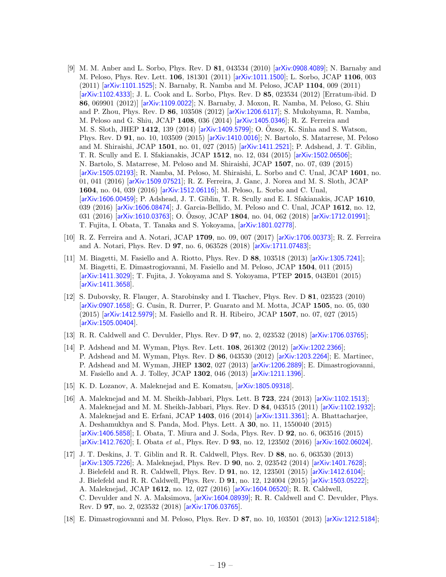- <span id="page-19-0"></span>[9] M. M. Anber and L. Sorbo, Phys. Rev. D 81, 043534 (2010) [[arXiv:0908.4089](http://arxiv.org/abs/0908.4089)]; N. Barnaby and M. Peloso, Phys. Rev. Lett. 106, 181301 (2011) [[arXiv:1011.1500](http://arxiv.org/abs/1011.1500)]; L. Sorbo, JCAP 1106, 003 (2011) [[arXiv:1101.1525](http://arxiv.org/abs/1101.1525)]; N. Barnaby, R. Namba and M. Peloso, JCAP 1104, 009 (2011) [[arXiv:1102.4333](http://arxiv.org/abs/1102.4333)]; J. L. Cook and L. Sorbo, Phys. Rev. D 85, 023534 (2012) [Erratum-ibid. D 86, 069901 (2012)] [[arXiv:1109.0022](http://arxiv.org/abs/1109.0022)]; N. Barnaby, J. Moxon, R. Namba, M. Peloso, G. Shiu and P. Zhou, Phys. Rev. D 86, 103508 (2012) [[arXiv:1206.6117](http://arxiv.org/abs/1206.6117)]; S. Mukohyama, R. Namba, M. Peloso and G. Shiu, JCAP 1408, 036 (2014) [[arXiv:1405.0346](http://arxiv.org/abs/1405.0346)]; R. Z. Ferreira and M. S. Sloth, JHEP 1412, 139 (2014) [[arXiv:1409.5799](http://arxiv.org/abs/1409.5799)]; O. Özsoy, K. Sinha and S. Watson, Phys. Rev. D 91, no. 10, 103509 (2015) [[arXiv:1410.0016](http://arxiv.org/abs/1410.0016)]; N. Bartolo, S. Matarrese, M. Peloso and M. Shiraishi, JCAP 1501, no. 01, 027 (2015) [[arXiv:1411.2521](http://arxiv.org/abs/1411.2521)]; P. Adshead, J. T. Giblin, T. R. Scully and E. I. Sfakianakis, JCAP 1512, no. 12, 034 (2015) [[arXiv:1502.06506](http://arxiv.org/abs/1502.06506)]; N. Bartolo, S. Matarrese, M. Peloso and M. Shiraishi, JCAP 1507, no. 07, 039 (2015) [[arXiv:1505.02193](http://arxiv.org/abs/1505.02193)]; R. Namba, M. Peloso, M. Shiraishi, L. Sorbo and C. Unal, JCAP 1601, no. 01, 041 (2016) [[arXiv:1509.07521](http://arxiv.org/abs/1509.07521)]; R. Z. Ferreira, J. Ganc, J. Norea and M. S. Sloth, JCAP 1604, no. 04, 039 (2016) [[arXiv:1512.06116](http://arxiv.org/abs/1512.06116)]; M. Peloso, L. Sorbo and C. Unal, [[arXiv:1606.00459](http://arxiv.org/abs/1606.00459)]; P. Adshead, J. T. Giblin, T. R. Scully and E. I. Sfakianakis, JCAP 1610, 039 (2016) [[arXiv:1606.08474](http://arxiv.org/abs/1606.08474)]; J. Garcia-Bellido, M. Peloso and C. Unal, JCAP 1612, no. 12, 031 (2016) [[arXiv:1610.03763](http://arxiv.org/abs/1610.03763)]; O. Özsoy, JCAP 1804, no. 04, 062 (2018) [[arXiv:1712.01991](http://arxiv.org/abs/1712.01991)]; T. Fujita, I. Obata, T. Tanaka and S. Yokoyama, [[arXiv:1801.02778](http://arxiv.org/abs/1801.02778)].
- <span id="page-19-1"></span>[10] R. Z. Ferreira and A. Notari, JCAP 1709, no. 09, 007 (2017) [[arXiv:1706.00373](http://arxiv.org/abs/1706.00373)]; R. Z. Ferreira and A. Notari, Phys. Rev. D 97, no. 6, 063528 (2018) [[arXiv:1711.07483](http://arxiv.org/abs/1711.07483)];
- <span id="page-19-7"></span>[11] M. Biagetti, M. Fasiello and A. Riotto, Phys. Rev. D 88, 103518 (2013) [[arXiv:1305.7241](http://arxiv.org/abs/1305.7241)]; M. Biagetti, E. Dimastrogiovanni, M. Fasiello and M. Peloso, JCAP 1504, 011 (2015) [[arXiv:1411.3029](http://arxiv.org/abs/1411.3029)]; T. Fujita, J. Yokoyama and S. Yokoyama, PTEP 2015, 043E01 (2015) [[arXiv:1411.3658](http://arxiv.org/abs/1411.3658)].
- <span id="page-19-8"></span>[12] S. Dubovsky, R. Flauger, A. Starobinsky and I. Tkachev, Phys. Rev. D 81, 023523 (2010) [[arXiv:0907.1658](http://arxiv.org/abs/0907.1658)]; G. Cusin, R. Durrer, P. Guarato and M. Motta, JCAP 1505, no. 05, 030 (2015) [[arXiv:1412.5979](http://arxiv.org/abs/1412.5979)]; M. Fasiello and R. H. Ribeiro, JCAP 1507, no. 07, 027 (2015) [[arXiv:1505.00404](http://arxiv.org/abs/1505.00404)].
- <span id="page-19-2"></span>[13] R. R. Caldwell and C. Devulder, Phys. Rev. D 97, no. 2, 023532 (2018) [[arXiv:1706.03765](http://arxiv.org/abs/1706.03765)];
- <span id="page-19-3"></span>[14] P. Adshead and M. Wyman, Phys. Rev. Lett. 108, 261302 (2012) [[arXiv:1202.2366](http://arxiv.org/abs/1202.2366)]; P. Adshead and M. Wyman, Phys. Rev. D 86, 043530 (2012) [[arXiv:1203.2264](http://arxiv.org/abs/1203.2264)]; E. Martinec, P. Adshead and M. Wyman, JHEP 1302, 027 (2013) [[arXiv:1206.2889](http://arxiv.org/abs/1206.2889)]; E. Dimastrogiovanni, M. Fasiello and A. J. Tolley, JCAP 1302, 046 (2013) [[arXiv:1211.1396](http://arxiv.org/abs/1211.1396)].
- <span id="page-19-9"></span>[15] K. D. Lozanov, A. Maleknejad and E. Komatsu, [[arXiv:1805.09318](http://arxiv.org/abs/1805.09318)].
- <span id="page-19-4"></span>[16] A. Maleknejad and M. M. Sheikh-Jabbari, Phys. Lett. B 723, 224 (2013) [[arXiv:1102.1513](http://arxiv.org/abs/1102.1513)]; A. Maleknejad and M. M. Sheikh-Jabbari, Phys. Rev. D 84, 043515 (2011) [[arXiv:1102.1932](http://arxiv.org/abs/1102.1932)]; A. Maleknejad and E. Erfani, JCAP 1403, 016 (2014) [[arXiv:1311.3361](http://arxiv.org/abs/1311.3361)]; A. Bhattacharjee, A. Deshamukhya and S. Panda, Mod. Phys. Lett. A 30, no. 11, 1550040 (2015) [[arXiv:1406.5858](http://arxiv.org/abs/1406.5858)]; I. Obata, T. Miura and J. Soda, Phys. Rev. D 92, no. 6, 063516 (2015) [[arXiv:1412.7620](http://arxiv.org/abs/1412.7620)]; I. Obata et al., Phys. Rev. D 93, no. 12, 123502 (2016) [[arXiv:1602.06024](http://arxiv.org/abs/1602.06024)].
- <span id="page-19-5"></span>[17] J. T. Deskins, J. T. Giblin and R. R. Caldwell, Phys. Rev. D 88, no. 6, 063530 (2013) [[arXiv:1305.7226](http://arxiv.org/abs/1305.7226)]; A. Maleknejad, Phys. Rev. D 90, no. 2, 023542 (2014) [[arXiv:1401.7628](http://arxiv.org/abs/1401.7628)]; J. Bielefeld and R. R. Caldwell, Phys. Rev. D 91, no. 12, 123501 (2015) [[arXiv:1412.6104](http://arxiv.org/abs/1412.6104)]; J. Bielefeld and R. R. Caldwell, Phys. Rev. D 91, no. 12, 124004 (2015) [[arXiv:1503.05222](http://arxiv.org/abs/1503.05222)]; A. Maleknejad, JCAP 1612, no. 12, 027 (2016) [[arXiv:1604.06520](http://arxiv.org/abs/1604.06520)]; R. R. Caldwell, C. Devulder and N. A. Maksimova, [[arXiv:1604.08939](http://arxiv.org/abs/1604.08939)]; R. R. Caldwell and C. Devulder, Phys. Rev. D 97, no. 2, 023532 (2018) [[arXiv:1706.03765](http://arxiv.org/abs/1706.03765)].
- <span id="page-19-6"></span>[18] E. Dimastrogiovanni and M. Peloso, Phys. Rev. D 87, no. 10, 103501 (2013) [[arXiv:1212.5184](http://arxiv.org/abs/1212.5184)];